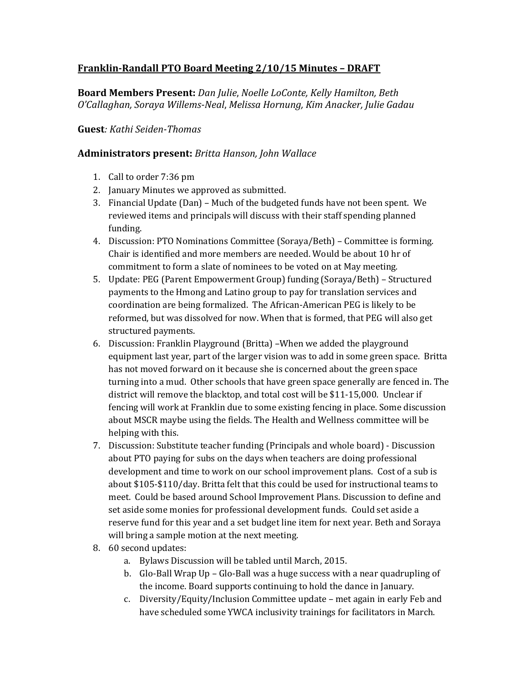## **Franklin-Randall PTO Board Meeting 2/10/15 Minutes – DRAFT**

**Board Members Present:** *Dan Julie*, *Noelle LoConte, Kelly Hamilton, Beth O'Callaghan, Soraya Willems-Neal*, *Melissa Hornung, Kim Anacker, Julie Gadau*

## **Guest***: Kathi Seiden-Thomas*

## **Administrators present:** *Britta Hanson, John Wallace*

- 1. Call to order 7:36 pm
- 2. January Minutes we approved as submitted.
- 3. Financial Update (Dan) Much of the budgeted funds have not been spent. We reviewed items and principals will discuss with their staff spending planned funding.
- 4. Discussion: PTO Nominations Committee (Soraya/Beth) Committee is forming. Chair is identified and more members are needed. Would be about 10 hr of commitment to form a slate of nominees to be voted on at May meeting.
- 5. Update: PEG (Parent Empowerment Group) funding (Soraya/Beth) Structured payments to the Hmong and Latino group to pay for translation services and coordination are being formalized. The African-American PEG is likely to be reformed, but was dissolved for now. When that is formed, that PEG will also get structured payments.
- 6. Discussion: Franklin Playground (Britta) –When we added the playground equipment last year, part of the larger vision was to add in some green space. Britta has not moved forward on it because she is concerned about the green space turning into a mud. Other schools that have green space generally are fenced in. The district will remove the blacktop, and total cost will be \$11-15,000. Unclear if fencing will work at Franklin due to some existing fencing in place. Some discussion about MSCR maybe using the fields. The Health and Wellness committee will be helping with this.
- 7. Discussion: Substitute teacher funding (Principals and whole board) Discussion about PTO paying for subs on the days when teachers are doing professional development and time to work on our school improvement plans. Cost of a sub is about \$105-\$110/day. Britta felt that this could be used for instructional teams to meet. Could be based around School Improvement Plans. Discussion to define and set aside some monies for professional development funds. Could set aside a reserve fund for this year and a set budget line item for next year. Beth and Soraya will bring a sample motion at the next meeting.
- 8. 60 second updates:
	- a. Bylaws Discussion will be tabled until March, 2015.
	- b. Glo-Ball Wrap Up Glo-Ball was a huge success with a near quadrupling of the income. Board supports continuing to hold the dance in January.
	- c. Diversity/Equity/Inclusion Committee update met again in early Feb and have scheduled some YWCA inclusivity trainings for facilitators in March.